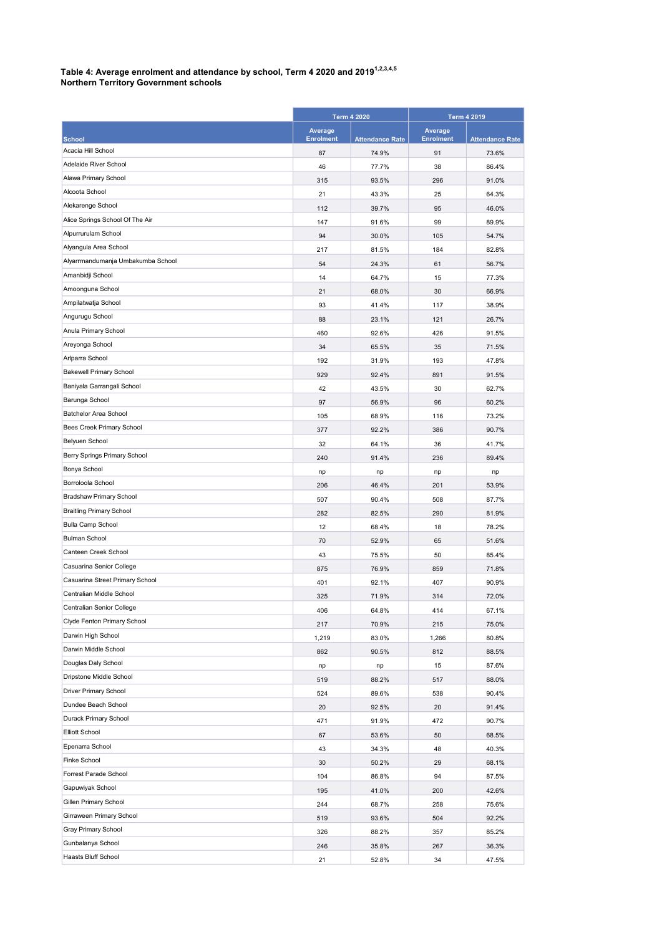## Table 4: Average enrolment and attendance by school, Term 4 2020 and 2019 $^{1,2,3,4,5}$

|  | <b>Northern Territory Government schools</b> |
|--|----------------------------------------------|
|--|----------------------------------------------|

|                                   | <b>Term 4 2020</b>          |                        | <b>Term 4 2019</b>          |                        |
|-----------------------------------|-----------------------------|------------------------|-----------------------------|------------------------|
| <b>School</b>                     | Average<br><b>Enrolment</b> | <b>Attendance Rate</b> | Average<br><b>Enrolment</b> | <b>Attendance Rate</b> |
| Acacia Hill School                | 87                          | 74.9%                  | 91                          | 73.6%                  |
| Adelaide River School             | 46                          | 77.7%                  | 38                          | 86.4%                  |
| Alawa Primary School              | 315                         | 93.5%                  | 296                         | 91.0%                  |
| Alcoota School                    | 21                          | 43.3%                  | 25                          | 64.3%                  |
| Alekarenge School                 | 112                         | 39.7%                  | 95                          | 46.0%                  |
| Alice Springs School Of The Air   | 147                         | 91.6%                  | 99                          | 89.9%                  |
| Alpurrurulam School               | 94                          | 30.0%                  | 105                         | 54.7%                  |
| Alyangula Area School             | 217                         | 81.5%                  | 184                         | 82.8%                  |
| Alyarrmandumanja Umbakumba School | 54                          | 24.3%                  | 61                          | 56.7%                  |
| Amanbidji School                  | 14                          | 64.7%                  | 15                          | 77.3%                  |
| Amoonguna School                  | 21                          | 68.0%                  | 30                          | 66.9%                  |
| Ampilatwatja School               | 93                          | 41.4%                  | 117                         | 38.9%                  |
| Angurugu School                   | 88                          | 23.1%                  | 121                         | 26.7%                  |
| Anula Primary School              | 460                         | 92.6%                  | 426                         | 91.5%                  |
| Areyonga School                   | 34                          | 65.5%                  | 35                          | 71.5%                  |
| Arlparra School                   | 192                         | 31.9%                  | 193                         | 47.8%                  |
| <b>Bakewell Primary School</b>    | 929                         | 92.4%                  | 891                         | 91.5%                  |
| Baniyala Garrangali School        | 42                          | 43.5%                  | 30                          | 62.7%                  |
| Barunga School                    | 97                          | 56.9%                  | 96                          | 60.2%                  |
| Batchelor Area School             | 105                         | 68.9%                  | 116                         | 73.2%                  |
| Bees Creek Primary School         | 377                         | 92.2%                  | 386                         | 90.7%                  |
| Belyuen School                    | 32                          | 64.1%                  | 36                          | 41.7%                  |
| Berry Springs Primary School      | 240                         | 91.4%                  | 236                         | 89.4%                  |
| Bonya School                      | np                          | np                     | np                          | np                     |
| Borroloola School                 | 206                         | 46.4%                  | 201                         | 53.9%                  |
| Bradshaw Primary School           | 507                         | 90.4%                  | 508                         | 87.7%                  |
| <b>Braitling Primary School</b>   | 282                         | 82.5%                  | 290                         | 81.9%                  |
| Bulla Camp School                 | 12                          | 68.4%                  | 18                          | 78.2%                  |
| <b>Bulman School</b>              | 70                          | 52.9%                  | 65                          | 51.6%                  |
| Canteen Creek School              | 43                          | 75.5%                  | 50                          | 85.4%                  |
| Casuarina Senior College          | 875                         | 76.9%                  | 859                         | 71.8%                  |
| Casuarina Street Primary School   | 401                         | 92.1%                  | 407                         | 90.9%                  |
| Centralian Middle School          | 325                         | 71.9%                  | 314                         | 72.0%                  |
| Centralian Senior College         | 406                         | 64.8%                  | 414                         | 67.1%                  |
| Clyde Fenton Primary School       | 217                         | 70.9%                  | 215                         | 75.0%                  |
| Darwin High School                | 1,219                       | 83.0%                  | 1,266                       | 80.8%                  |
| Darwin Middle School              | 862                         | 90.5%                  | 812                         | 88.5%                  |
| Douglas Daly School               | np                          | np                     | 15                          | 87.6%                  |
| Dripstone Middle School           | 519                         | 88.2%                  | 517                         | 88.0%                  |
| Driver Primary School             | 524                         | 89.6%                  | 538                         | 90.4%                  |
| Dundee Beach School               | 20                          | 92.5%                  | 20                          | 91.4%                  |
| Durack Primary School             | 471                         | 91.9%                  | 472                         | 90.7%                  |
| Elliott School                    | 67                          | 53.6%                  | 50                          | 68.5%                  |
| Epenarra School                   | 43                          | 34.3%                  | 48                          | 40.3%                  |
| Finke School                      | 30                          | 50.2%                  | 29                          | 68.1%                  |
| Forrest Parade School             | 104                         | 86.8%                  | 94                          | 87.5%                  |
| Gapuwiyak School                  | 195                         | 41.0%                  | 200                         | 42.6%                  |
| Gillen Primary School             | 244                         | 68.7%                  | 258                         | 75.6%                  |
| Girraween Primary School          | 519                         | 93.6%                  | 504                         | 92.2%                  |
| Gray Primary School               | 326                         | 88.2%                  | 357                         | 85.2%                  |
| Gunbalanya School                 | 246                         | 35.8%                  | 267                         | 36.3%                  |
| Haasts Bluff School               | 21                          | 52.8%                  | 34                          | 47.5%                  |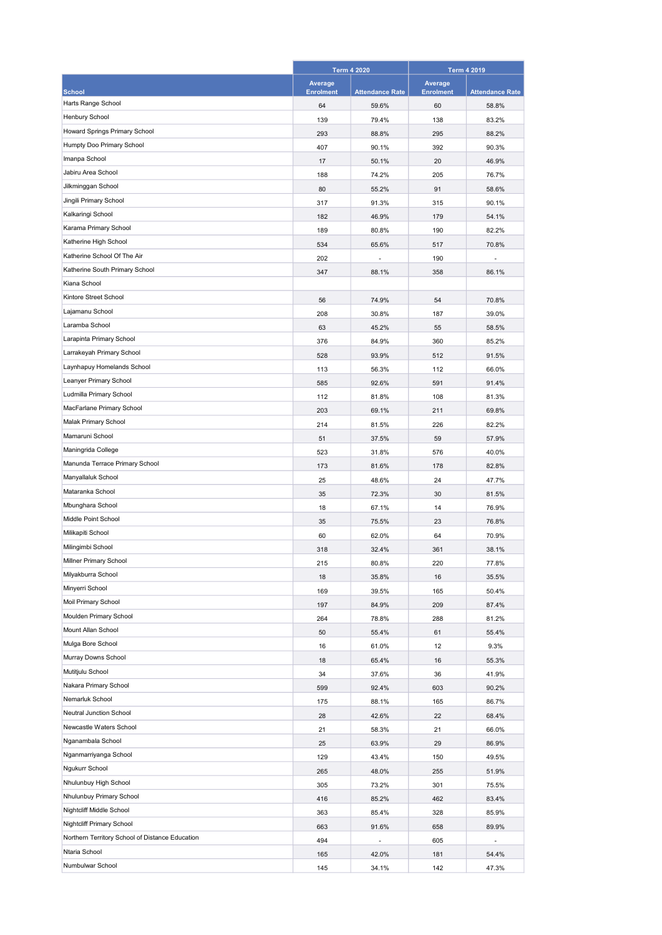|                                                 | <b>Term 4 2020</b> |                        |                  | <b>Term 4 2019</b>     |  |
|-------------------------------------------------|--------------------|------------------------|------------------|------------------------|--|
|                                                 | Average            |                        | Average          |                        |  |
| <b>School</b>                                   | <b>Enrolment</b>   | <b>Attendance Rate</b> | <b>Enrolment</b> | <b>Attendance Rate</b> |  |
| Harts Range School                              | 64                 | 59.6%                  | 60               | 58.8%                  |  |
| Henbury School                                  | 139                | 79.4%                  | 138              | 83.2%                  |  |
| Howard Springs Primary School                   | 293                | 88.8%                  | 295              | 88.2%                  |  |
| Humpty Doo Primary School                       | 407                | 90.1%                  | 392              | 90.3%                  |  |
| Imanpa School                                   | 17                 | 50.1%                  | 20               | 46.9%                  |  |
| Jabiru Area School                              | 188                | 74.2%                  | 205              | 76.7%                  |  |
| Jilkminggan School                              | 80                 | 55.2%                  | 91               | 58.6%                  |  |
| Jingili Primary School                          | 317                | 91.3%                  | 315              | 90.1%                  |  |
| Kalkaringi School                               | 182                | 46.9%                  | 179              | 54.1%                  |  |
| Karama Primary School                           | 189                | 80.8%                  | 190              | 82.2%                  |  |
| Katherine High School                           | 534                | 65.6%                  | 517              | 70.8%                  |  |
| Katherine School Of The Air                     | 202                |                        | 190              |                        |  |
| Katherine South Primary School                  | 347                | 88.1%                  | 358              | 86.1%                  |  |
| Kiana School                                    |                    |                        |                  |                        |  |
| Kintore Street School                           | 56                 | 74.9%                  | 54               | 70.8%                  |  |
| Lajamanu School                                 | 208                | 30.8%                  | 187              | 39.0%                  |  |
| Laramba School                                  | 63                 | 45.2%                  | 55               | 58.5%                  |  |
| Larapinta Primary School                        | 376                | 84.9%                  | 360              | 85.2%                  |  |
| Larrakeyah Primary School                       | 528                | 93.9%                  | 512              | 91.5%                  |  |
| Laynhapuy Homelands School                      | 113                | 56.3%                  | 112              | 66.0%                  |  |
| Leanyer Primary School                          | 585                | 92.6%                  | 591              | 91.4%                  |  |
| Ludmilla Primary School                         | 112                | 81.8%                  | 108              | 81.3%                  |  |
| MacFarlane Primary School                       | 203                | 69.1%                  | 211              | 69.8%                  |  |
| Malak Primary School                            | 214                | 81.5%                  | 226              | 82.2%                  |  |
| Mamaruni School                                 | 51                 | 37.5%                  | 59               | 57.9%                  |  |
| Maningrida College                              | 523                | 31.8%                  | 576              | 40.0%                  |  |
| Manunda Terrace Primary School                  | 173                | 81.6%                  | 178              | 82.8%                  |  |
| Manyallaluk School                              | 25                 | 48.6%                  | 24               | 47.7%                  |  |
| Mataranka School                                | 35                 | 72.3%                  | 30               | 81.5%                  |  |
| Mbunghara School                                | 18                 | 67.1%                  | 14               | 76.9%                  |  |
| Middle Point School                             | 35                 | 75.5%                  | 23               | 76.8%                  |  |
| Milikapiti School                               | 60                 | 62.0%                  | 64               | 70.9%                  |  |
| Milingimbi School                               | 318                | 32.4%                  | 361              | 38.1%                  |  |
| Millner Primary School                          | 215                | 80.8%                  | 220              | 77.8%                  |  |
| Milyakburra School                              | 18                 | 35.8%                  | 16               | 35.5%                  |  |
| Minyerri School                                 | 169                | 39.5%                  | 165              | 50.4%                  |  |
| Moil Primary School                             | 197                | 84.9%                  | 209              | 87.4%                  |  |
| Moulden Primary School                          | 264                | 78.8%                  | 288              | 81.2%                  |  |
| Mount Allan School                              | 50                 | 55.4%                  | 61               | 55.4%                  |  |
| Mulga Bore School                               | 16                 | 61.0%                  | 12               | 9.3%                   |  |
| Murray Downs School                             | 18                 | 65.4%                  | 16               | 55.3%                  |  |
| Mutitjulu School                                | 34                 | 37.6%                  | 36               | 41.9%                  |  |
| Nakara Primary School                           | 599                | 92.4%                  | 603              | 90.2%                  |  |
| Nemarluk School                                 | 175                | 88.1%                  | 165              | 86.7%                  |  |
| Neutral Junction School                         | 28                 | 42.6%                  | 22               | 68.4%                  |  |
| Newcastle Waters School                         | 21                 | 58.3%                  | 21               | 66.0%                  |  |
| Nganambala School                               | 25                 | 63.9%                  | 29               | 86.9%                  |  |
| Nganmarriyanga School                           | 129                | 43.4%                  | 150              | 49.5%                  |  |
| Ngukurr School                                  | 265                | 48.0%                  | 255              | 51.9%                  |  |
| Nhulunbuy High School                           | 305                | 73.2%                  | 301              | 75.5%                  |  |
| Nhulunbuy Primary School                        | 416                | 85.2%                  | 462              | 83.4%                  |  |
| Nightcliff Middle School                        | 363                | 85.4%                  | 328              | 85.9%                  |  |
| Nightcliff Primary School                       | 663                | 91.6%                  | 658              | 89.9%                  |  |
| Northern Territory School of Distance Education | 494                | L,                     | 605              | ÷,                     |  |
| Ntaria School                                   | 165                | 42.0%                  | 181              | 54.4%                  |  |
| Numbulwar School                                | 145                | 34.1%                  | 142              | 47.3%                  |  |